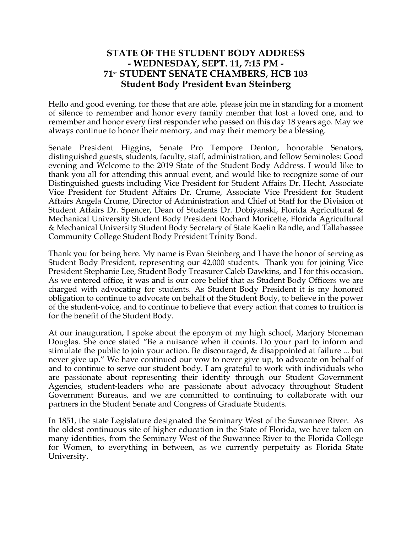## **STATE OF THE STUDENT BODY ADDRESS - WEDNESDAY, SEPT. 11, 7:15 PM - 71ST STUDENT SENATE CHAMBERS, HCB 103 Student Body President Evan Steinberg**

Hello and good evening, for those that are able, please join me in standing for a moment of silence to remember and honor every family member that lost a loved one, and to remember and honor every first responder who passed on this day 18 years ago. May we always continue to honor their memory, and may their memory be a blessing.

Senate President Higgins, Senate Pro Tempore Denton, honorable Senators, distinguished guests, students, faculty, staff, administration, and fellow Seminoles: Good evening and Welcome to the 2019 State of the Student Body Address. I would like to thank you all for attending this annual event, and would like to recognize some of our Distinguished guests including Vice President for Student Affairs Dr. Hecht, Associate Vice President for Student Affairs Dr. Crume, Associate Vice President for Student Affairs Angela Crume, Director of Administration and Chief of Staff for the Division of Student Affairs Dr. Spencer, Dean of Students Dr. Dobiyanski, Florida Agricultural & Mechanical University Student Body President Rochard Moricette, Florida Agricultural & Mechanical University Student Body Secretary of State Kaelin Randle, and Tallahassee Community College Student Body President Trinity Bond.

Thank you for being here. My name is Evan Steinberg and I have the honor of serving as Student Body President, representing our 42,000 students. Thank you for joining Vice President Stephanie Lee, Student Body Treasurer Caleb Dawkins, and I for this occasion. As we entered office, it was and is our core belief that as Student Body Officers we are charged with advocating for students. As Student Body President it is my honored obligation to continue to advocate on behalf of the Student Body, to believe in the power of the student-voice, and to continue to believe that every action that comes to fruition is for the benefit of the Student Body.

At our inauguration, I spoke about the eponym of my high school, Marjory Stoneman Douglas. She once stated "Be a nuisance when it counts. Do your part to inform and stimulate the public to join your action. Be discouraged, & disappointed at failure ... but never give up." We have continued our vow to never give up, to advocate on behalf of and to continue to serve our student body. I am grateful to work with individuals who are passionate about representing their identity through our Student Government Agencies, student-leaders who are passionate about advocacy throughout Student Government Bureaus, and we are committed to continuing to collaborate with our partners in the Student Senate and Congress of Graduate Students.

In 1851, the state Legislature designated the Seminary West of the Suwannee River. As the oldest continuous site of higher education in the State of Florida, we have taken on many identities, from the Seminary West of the Suwannee River to the Florida College for Women, to everything in between, as we currently perpetuity as Florida State University.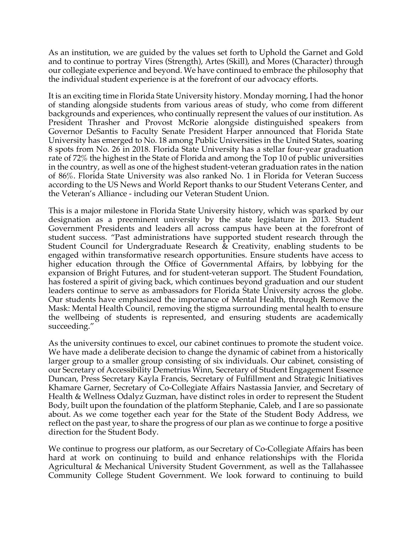As an institution, we are guided by the values set forth to Uphold the Garnet and Gold and to continue to portray Vires (Strength), Artes (Skill), and Mores (Character) through our collegiate experience and beyond. We have continued to embrace the philosophy that the individual student experience is at the forefront of our advocacy efforts.

It is an exciting time in Florida State University history. Monday morning, I had the honor of standing alongside students from various areas of study, who come from different backgrounds and experiences, who continually represent the values of our institution. As President Thrasher and Provost McRorie alongside distinguished speakers from Governor DeSantis to Faculty Senate President Harper announced that Florida State University has emerged to No. 18 among Public Universities in the United States, soaring 8 spots from No. 26 in 2018. Florida State University has a stellar four-year graduation rate of 72% the highest in the State of Florida and among the Top 10 of public universities in the country, as well as one of the highest student-veteran graduation rates in the nation of 86%. Florida State University was also ranked No. 1 in Florida for Veteran Success according to the US News and World Report thanks to our Student Veterans Center, and the Veteran's Alliance - including our Veteran Student Union.

This is a major milestone in Florida State University history, which was sparked by our designation as a preeminent university by the state legislature in 2013. Student Government Presidents and leaders all across campus have been at the forefront of student success. "Past administrations have supported student research through the Student Council for Undergraduate Research & Creativity, enabling students to be engaged within transformative research opportunities. Ensure students have access to higher education through the Office of Governmental Affairs, by lobbying for the expansion of Bright Futures, and for student-veteran support. The Student Foundation, has fostered a spirit of giving back, which continues beyond graduation and our student leaders continue to serve as ambassadors for Florida State University across the globe. Our students have emphasized the importance of Mental Health, through Remove the Mask: Mental Health Council, removing the stigma surrounding mental health to ensure the wellbeing of students is represented, and ensuring students are academically succeeding."

As the university continues to excel, our cabinet continues to promote the student voice. We have made a deliberate decision to change the dynamic of cabinet from a historically larger group to a smaller group consisting of six individuals. Our cabinet, consisting of our Secretary of Accessibility Demetrius Winn, Secretary of Student Engagement Essence Duncan, Press Secretary Kayla Francis, Secretary of Fulfillment and Strategic Initiatives Khamare Garner, Secretary of Co-Collegiate Affairs Nastassia Janvier, and Secretary of Health & Wellness Odalyz Guzman, have distinct roles in order to represent the Student Body, built upon the foundation of the platform Stephanie, Caleb, and I are so passionate about. As we come together each year for the State of the Student Body Address, we reflect on the past year, to share the progress of our plan as we continue to forge a positive direction for the Student Body.

We continue to progress our platform, as our Secretary of Co-Collegiate Affairs has been hard at work on continuing to build and enhance relationships with the Florida Agricultural & Mechanical University Student Government, as well as the Tallahassee Community College Student Government. We look forward to continuing to build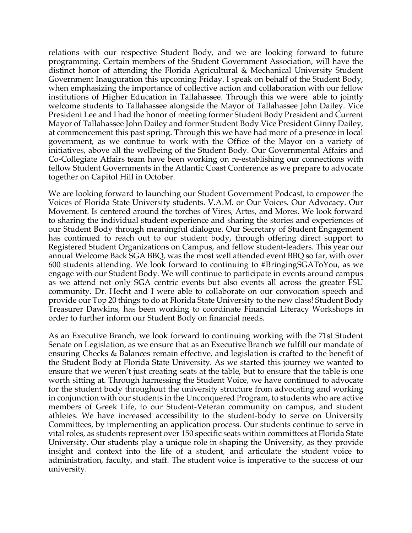relations with our respective Student Body, and we are looking forward to future programming. Certain members of the Student Government Association, will have the distinct honor of attending the Florida Agricultural & Mechanical University Student Government Inauguration this upcoming Friday. I speak on behalf of the Student Body, when emphasizing the importance of collective action and collaboration with our fellow institutions of Higher Education in Tallahassee. Through this we were able to jointly welcome students to Tallahassee alongside the Mayor of Tallahassee John Dailey. Vice President Lee and I had the honor of meeting former Student Body President and Current Mayor of Tallahassee John Dailey and former Student Body Vice President Ginny Dailey, at commencement this past spring. Through this we have had more of a presence in local government, as we continue to work with the Office of the Mayor on a variety of initiatives, above all the wellbeing of the Student Body. Our Governmental Affairs and Co-Collegiate Affairs team have been working on re-establishing our connections with fellow Student Governments in the Atlantic Coast Conference as we prepare to advocate together on Capitol Hill in October.

We are looking forward to launching our Student Government Podcast, to empower the Voices of Florida State University students. V.A.M. or Our Voices. Our Advocacy. Our Movement. Is centered around the torches of Vires, Artes, and Mores. We look forward to sharing the individual student experience and sharing the stories and experiences of our Student Body through meaningful dialogue. Our Secretary of Student Engagement has continued to reach out to our student body, through offering direct support to Registered Student Organizations on Campus, and fellow student-leaders. This year our annual Welcome Back SGA BBQ, was the most well attended event BBQ so far, with over 600 students attending. We look forward to continuing to #BringingSGAToYou, as we engage with our Student Body. We will continue to participate in events around campus as we attend not only SGA centric events but also events all across the greater FSU community. Dr. Hecht and I were able to collaborate on our convocation speech and provide our Top 20 things to do at Florida State University to the new class! Student Body Treasurer Dawkins, has been working to coordinate Financial Literacy Workshops in order to further inform our Student Body on financial needs.

As an Executive Branch, we look forward to continuing working with the 71st Student Senate on Legislation, as we ensure that as an Executive Branch we fulfill our mandate of ensuring Checks & Balances remain effective, and legislation is crafted to the benefit of the Student Body at Florida State University. As we started this journey we wanted to ensure that we weren't just creating seats at the table, but to ensure that the table is one worth sitting at. Through harnessing the Student Voice, we have continued to advocate for the student body throughout the university structure from advocating and working in conjunction with our students in the Unconquered Program, to students who are active members of Greek Life, to our Student-Veteran community on campus, and student athletes. We have increased accessibility to the student-body to serve on University Committees, by implementing an application process. Our students continue to serve in vital roles, as students represent over 150 specific seats within committees at Florida State University. Our students play a unique role in shaping the University, as they provide insight and context into the life of a student, and articulate the student voice to administration, faculty, and staff. The student voice is imperative to the success of our university.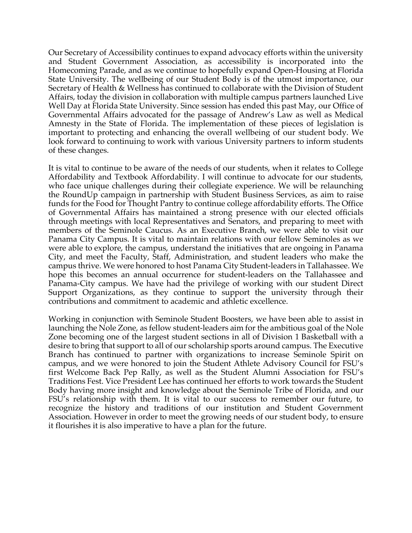Our Secretary of Accessibility continues to expand advocacy efforts within the university and Student Government Association, as accessibility is incorporated into the Homecoming Parade, and as we continue to hopefully expand Open-Housing at Florida State University. The wellbeing of our Student Body is of the utmost importance, our Secretary of Health & Wellness has continued to collaborate with the Division of Student Affairs, today the division in collaboration with multiple campus partners launched Live Well Day at Florida State University. Since session has ended this past May, our Office of Governmental Affairs advocated for the passage of Andrew's Law as well as Medical Amnesty in the State of Florida. The implementation of these pieces of legislation is important to protecting and enhancing the overall wellbeing of our student body. We look forward to continuing to work with various University partners to inform students of these changes.

It is vital to continue to be aware of the needs of our students, when it relates to College Affordability and Textbook Affordability. I will continue to advocate for our students, who face unique challenges during their collegiate experience. We will be relaunching the RoundUp campaign in partnership with Student Business Services, as aim to raise funds for the Food for Thought Pantry to continue college affordability efforts. The Office of Governmental Affairs has maintained a strong presence with our elected officials through meetings with local Representatives and Senators, and preparing to meet with members of the Seminole Caucus. As an Executive Branch, we were able to visit our Panama City Campus. It is vital to maintain relations with our fellow Seminoles as we were able to explore, the campus, understand the initiatives that are ongoing in Panama City, and meet the Faculty, Staff, Administration, and student leaders who make the campus thrive. We were honored to host Panama City Student-leaders in Tallahassee. We hope this becomes an annual occurrence for student-leaders on the Tallahassee and Panama-City campus. We have had the privilege of working with our student Direct Support Organizations, as they continue to support the university through their contributions and commitment to academic and athletic excellence.

Working in conjunction with Seminole Student Boosters, we have been able to assist in launching the Nole Zone, as fellow student-leaders aim for the ambitious goal of the Nole Zone becoming one of the largest student sections in all of Division 1 Basketball with a desire to bring that support to all of our scholarship sports around campus. The Executive Branch has continued to partner with organizations to increase Seminole Spirit on campus, and we were honored to join the Student Athlete Advisory Council for FSU's first Welcome Back Pep Rally, as well as the Student Alumni Association for FSU's Traditions Fest. Vice President Lee has continued her efforts to work towards the Student Body having more insight and knowledge about the Seminole Tribe of Florida, and our FSU's relationship with them. It is vital to our success to remember our future, to recognize the history and traditions of our institution and Student Government Association. However in order to meet the growing needs of our student body, to ensure it flourishes it is also imperative to have a plan for the future.